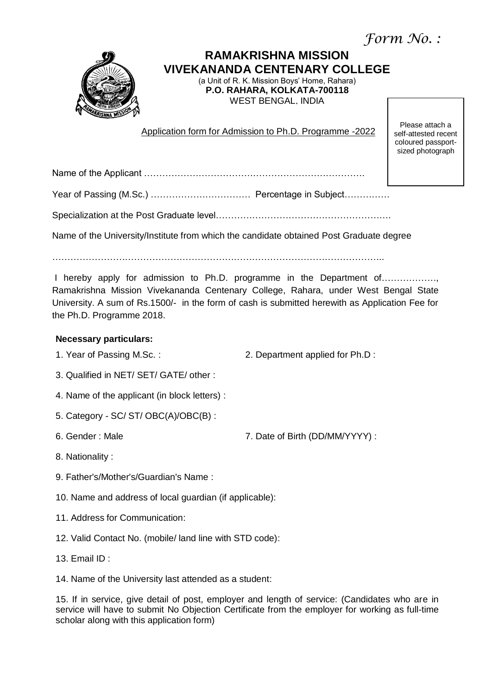*Form No. :*



# **RAMAKRISHNA MISSION VIVEKANANDA CENTENARY COLLEGE**

(a Unit of R. K. Mission Boys' Home, Rahara) **P.O. RAHARA, KOLKATA-700118** WEST BENGAL, INDIA

Application form for Admission to Ph.D. Programme -2022

Please attach a self-attested recent coloured passportsized photograph

Name of the Applicant ……………………………………………………………….

Specialization at the Post Graduate level………………………………………………….

Name of the University/Institute from which the candidate obtained Post Graduate degree

………………………………………………………………………………………………..

I hereby apply for admission to Ph.D. programme in the Department of………………, Ramakrishna Mission Vivekananda Centenary College, Rahara, under West Bengal State University. A sum of Rs.1500/- in the form of cash is submitted herewith as Application Fee for the Ph.D. Programme 2018.

## **Necessary particulars:**

- 
- 1. Year of Passing M.Sc. : 2. Department applied for Ph.D :
- 3. Qualified in NET/ SET/ GATE/ other :
- 4. Name of the applicant (in block letters) :
- 5. Category SC/ ST/ OBC(A)/OBC(B) :
- 

6. Gender : Male 7. Date of Birth (DD/MM/YYYY) :

- 8. Nationality :
- 9. Father's/Mother's/Guardian's Name :
- 10. Name and address of local guardian (if applicable):
- 11. Address for Communication:
- 12. Valid Contact No. (mobile/ land line with STD code):
- 13. Email ID :
- 14. Name of the University last attended as a student:

15. If in service, give detail of post, employer and length of service: (Candidates who are in service will have to submit No Objection Certificate from the employer for working as full-time scholar along with this application form)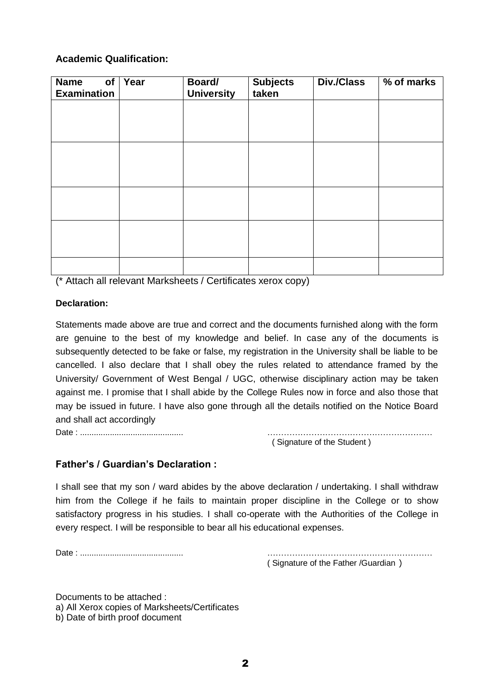## **Academic Qualification:**

| of<br><b>Name</b><br><b>Examination</b> | Year | Board/<br><b>University</b> | <b>Subjects</b><br>taken | Div./Class | % of marks |
|-----------------------------------------|------|-----------------------------|--------------------------|------------|------------|
|                                         |      |                             |                          |            |            |
|                                         |      |                             |                          |            |            |
|                                         |      |                             |                          |            |            |
|                                         |      |                             |                          |            |            |
|                                         |      |                             |                          |            |            |
|                                         |      |                             |                          |            |            |
|                                         |      |                             |                          |            |            |

(\* Attach all relevant Marksheets / Certificates xerox copy)

#### **Declaration:**

Statements made above are true and correct and the documents furnished along with the form are genuine to the best of my knowledge and belief. In case any of the documents is subsequently detected to be fake or false, my registration in the University shall be liable to be cancelled. I also declare that I shall obey the rules related to attendance framed by the University/ Government of West Bengal / UGC, otherwise disciplinary action may be taken against me. I promise that I shall abide by the College Rules now in force and also those that may be issued in future. I have also gone through all the details notified on the Notice Board and shall act accordingly

Date : ............................................. ……………………………………………………

( Signature of the Student )

### **Father's / Guardian's Declaration :**

I shall see that my son / ward abides by the above declaration / undertaking. I shall withdraw him from the College if he fails to maintain proper discipline in the College or to show satisfactory progress in his studies. I shall co-operate with the Authorities of the College in every respect. I will be responsible to bear all his educational expenses.

Date : ............................................. ……………………………………………………

( Signature of the Father /Guardian )

Documents to be attached : a) All Xerox copies of Marksheets/Certificates b) Date of birth proof document